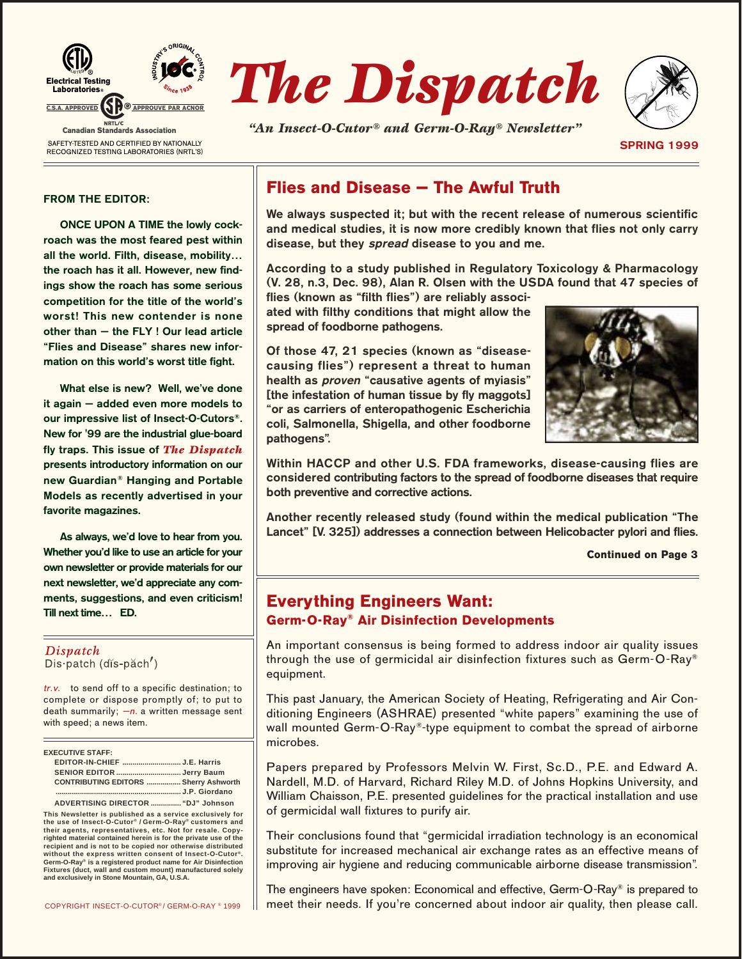



*"An Insect-O-Cutor® and Germ-O-Ray® Newsletter"*



**SPRING 1999**

#### **FROM THE EDITOR:**

**ONCE UPON A TIME the lowly cockroach was the most feared pest within all the world. Filth, disease, mobility… the roach has it all. However, new findings show the roach has some serious competition for the title of the world's worst! This new contender is none other than — the FLY ! Our lead article "Flies and Disease" shares new information on this world's worst title fight.**

**What else is new? Well, we've done it again — added even more models to our impressive list of Insect-O-Cutors®. New for '99 are the industrial glue-board fly traps. This issue of** *The Dispatch* **presents introductory information on our new Guardian® Hanging and Portable Models as recently advertised in your favorite magazines.**

**As always, we'd love to hear from you. Whether you'd like to use an article for your own newsletter or provide materials for our next newsletter, we'd appreciate any comments, suggestions, and even criticism! Till next time… ED.**

#### Dispatch Dis patch (dis-pach')

tr.v. to send off to a specific destination; to complete or dispose promptly of; to put to death summarily;  $-n$ . a written message sent with speed; a news item.

| <b>EXECUTIVE STAFF:</b>                      |  |
|----------------------------------------------|--|
| EDITOR-IN-CHIEF J.E. Harris                  |  |
|                                              |  |
| <b>CONTRIBUTING EDITORS  Sherry Ashworth</b> |  |
|                                              |  |
| ADVERTISING DIRECTOR  "DJ" Johnson           |  |

**This Newsletter is published as a service exclusively for the use of Insect-O-Cutor® / Germ-O-Ray® customers and their agents, representatives, etc. Not for resale. Copy-righted material contained herein is for the private use of the recipient and is not to be copied nor otherwise distributed without the express written consent of Insect-O-Cutor®. Germ-O-Ray® is a registered product name for Air Disinfection Fixtures (duct, wall and custom mount) manufactured solely and exclusively in Stone Mountain, GA, U.S.A.**

## **Flies and Disease — The Awful Truth**

**We always suspected it; but with the recent release of numerous scientific and medical studies, it is now more credibly known that flies not only carry disease, but they spread disease to you and me.**

**According to a study published in Regulatory Toxicology &␣ Pharmacology (V.␣ 28, n.3, Dec.␣ 98), Alan␣ R. Olsen with the USDA found that 47␣ species of**

**flies (known as "filth flies") are reliably associated with filthy conditions that might allow the spread of foodborne pathogens.**

**Of those 47, 21␣ species (known as "diseasecausing flies") represent a threat to human health as proven "causative agents of myiasis" [the infestation of human tissue by fly maggots] "or as carriers of enteropathogenic Escherichia coli, Salmonella, Shigella, and other foodborne pathogens".**



**Within HACCP and other U.S. FDA frameworks, disease-causing flies are considered contributing factors to the spread of foodborne diseases that require both preventive and corrective actions.**

**Another recently released study (found within the medical publication "The Lancet" [V.␣ 325]) addresses a connection between Helicobacter pylori and flies.**

**Continued on Page 3**

## **Everything Engineers Want: Germ-O-Ray® Air Disinfection Developments**

An important consensus is being formed to address indoor air quality issues through the use of germicidal air disinfection fixtures such as Germ-O-Ray® equipment.

This past January, the American Society of Heating, Refrigerating and Air Conditioning Engineers (ASHRAE) presented "white papers" examining the use of wall mounted Germ-O-Ray®-type equipment to combat the spread of airborne microbes.

Papers prepared by Professors Melvin W. First, Sc.D., P.E. and Edward A. Nardell, M.D. of Harvard, Richard Riley M.D. of Johns Hopkins University, and William Chaisson, P.E. presented guidelines for the practical installation and use of germicidal wall fixtures to purify air.

Their conclusions found that "germicidal irradiation technology is an economical substitute for increased mechanical air exchange rates as an effective means of improving air hygiene and reducing communicable airborne disease transmission".

The engineers have spoken: Economical and effective, Germ-O-Ray® is prepared to meet their needs. If you're concerned about indoor air quality, then please call.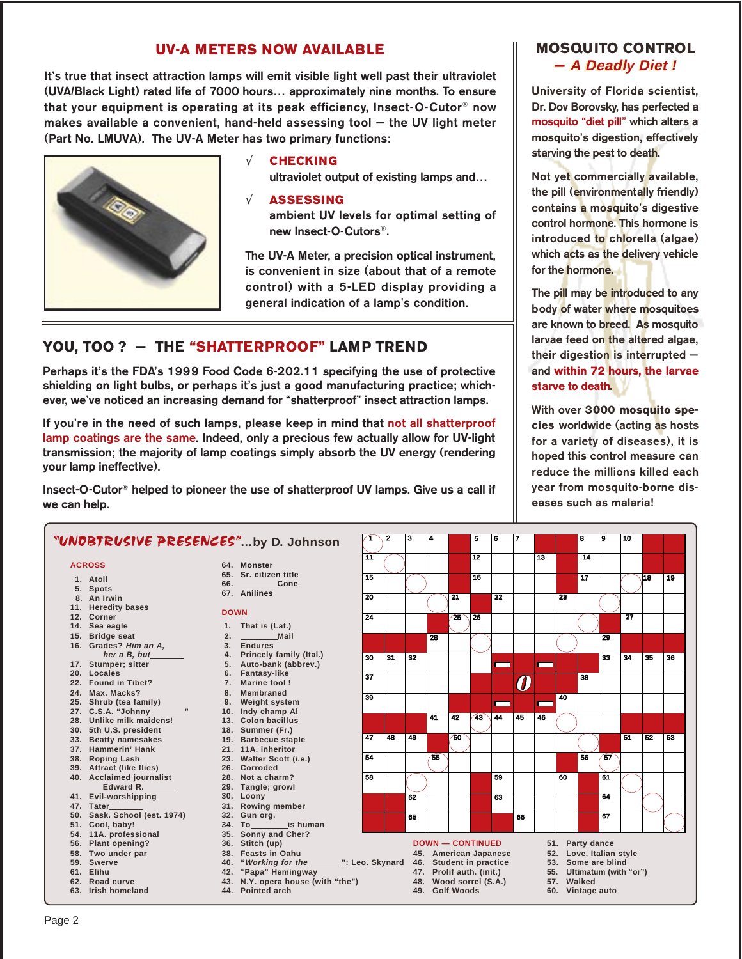## **UV-A METERS NOW AVAILABLE**

It's true that insect attraction lamps will emit visible light well past their ultraviolet (UVA/Black Light) rated life of 7000 hours... approximately nine months. To ensure that your equipment is operating at its peak efficiency, Insect-O-Cutor® now makes available a convenient, hand-held assessing tool - the UV light meter (Part No. LMUVA). The UV-A Meter has two primary functions:



### **CHECKING**

ultraviolet output of existing lamps and...

#### $\sqrt{ }$ **ASSESSING**

ambient UV levels for optimal setting of new Insect-O-Cutors®

The UV-A Meter, a precision optical instrument. is convenient in size (about that of a remote control) with a 5-LED display providing a general indication of a lamp's condition.

## YOU, TOO ? - THE "SHATTERPROOF" LAMP TREND

Perhaps it's the FDA's 1999 Food Code 6-202.11 specifying the use of protective shielding on light bulbs, or perhaps it's just a good manufacturing practice; whichever, we've noticed an increasing demand for "shatterproof" insect attraction lamps.

If you're in the need of such lamps, please keep in mind that not all shatterproof lamp coatings are the same. Indeed, only a precious few actually allow for UV-light transmission; the majority of lamp coatings simply absorb the UV energy (rendering your lamp ineffective).

Insect-O-Cutor<sup>®</sup> helped to pioneer the use of shatterproof UV lamps. Give us a call if we can help.

## **MOSQUITO CONTROL** - A Deadly Diet!

University of Florida scientist, Dr. Dov Borovsky, has perfected a mosquito "diet pill" which alters a mosquito's digestion, effectively starving the pest to death.

Not yet commercially available, the pill (environmentally friendly) contains a mosquito's digestive control hormone. This hormone is introduced to chlorella (algae) which acts as the delivery vehicle for the **hormone**.

The pill may be introduced to any body of water where mosquitoes are known to breed. As mosquito larvae feed on the altered algae, their digestion is interrupted  $$ and within 72 hours, the larvae starve to death.

With over 3000 mosquito species worldwide (acting as hosts for a variety of diseases), it is hoped this control measure can reduce the millions killed each year from mosquito-borne diseases such as malaria!

|     | "UNOBTRUSIVE PRESENCES"by D. Johnson                         |             |                                                                    |                                              | 2                         | з  | 4   |    | 5               | 6                       | 7                  |                           |    | 8  | 9  | 10              |    |    |  |
|-----|--------------------------------------------------------------|-------------|--------------------------------------------------------------------|----------------------------------------------|---------------------------|----|-----|----|-----------------|-------------------------|--------------------|---------------------------|----|----|----|-----------------|----|----|--|
|     | <b>ACROSS</b>                                                |             | 64. Monster                                                        | 11                                           |                           |    |     |    | $\overline{12}$ |                         |                    | 13                        |    | 14 |    |                 |    |    |  |
|     |                                                              |             | 65. Sr. citizen title                                              |                                              |                           |    |     |    |                 |                         |                    |                           |    |    |    |                 |    |    |  |
|     | 1. Atoll                                                     |             | Cone                                                               | $\overline{15}$                              |                           |    |     |    | $\overline{16}$ |                         |                    |                           |    | 17 |    |                 | 18 | 19 |  |
|     | 5. Spots                                                     |             | 67. Anilines                                                       |                                              |                           |    |     |    |                 |                         |                    |                           |    |    |    |                 |    |    |  |
|     | 8. An Irwin                                                  |             |                                                                    | 20                                           |                           |    |     | 21 |                 | $\overline{22}$         |                    |                           | 23 |    |    |                 |    |    |  |
|     | 11. Heredity bases                                           | <b>DOWN</b> |                                                                    |                                              |                           |    |     |    |                 |                         |                    |                           |    |    |    |                 |    |    |  |
|     | 12. Corner                                                   |             |                                                                    | 24                                           |                           |    |     | 25 | 26              |                         |                    |                           |    |    |    | $\overline{27}$ |    |    |  |
|     | 14. Sea eagle                                                |             | 1. That is (Lat.)                                                  |                                              |                           |    |     |    |                 |                         |                    |                           |    |    |    |                 |    |    |  |
| 15. | <b>Bridge seat</b>                                           | 2.          | Mail                                                               |                                              |                           |    | 28  |    |                 |                         |                    |                           |    |    | 29 |                 |    |    |  |
|     | 16. Grades? Him an A,                                        | 3.          | <b>Endures</b>                                                     |                                              |                           |    |     |    |                 |                         |                    |                           |    |    |    |                 |    |    |  |
|     | her a B, but                                                 |             | 4. Princely family (Ital.)                                         | 30                                           | 31                        | 32 |     |    |                 |                         |                    |                           |    |    | 33 | 34              | 35 | 36 |  |
|     | 17. Stumper; sitter                                          |             | 5. Auto-bank (abbrev.)                                             |                                              |                           |    |     |    |                 |                         |                    |                           |    |    |    |                 |    |    |  |
|     | 20. Locales                                                  | 6.          | <b>Fantasy-like</b>                                                | $\overline{37}$                              |                           |    |     |    |                 |                         |                    |                           |    | 38 |    |                 |    |    |  |
|     | 22. Found in Tibet?                                          | 7.          | Marine tool!                                                       |                                              |                           |    |     |    |                 |                         | 0                  |                           |    |    |    |                 |    |    |  |
|     | 24. Max. Macks?                                              | 8.          | <b>Membraned</b>                                                   | 39                                           |                           |    |     |    |                 |                         |                    |                           | 40 |    |    |                 |    |    |  |
|     | 25. Shrub (tea family)                                       | 9.          | <b>Weight system</b>                                               |                                              |                           |    |     |    |                 |                         |                    |                           |    |    |    |                 |    |    |  |
|     | $\pmb{\mathfrak{y}}\pmb{\mathfrak{y}}$<br>27. C.S.A. "Johnny |             | 10. Indy champ AI                                                  |                                              |                           |    | 41  | 42 | 43              | 44                      | 45                 |                           |    |    |    |                 |    |    |  |
|     | 28. Unlike milk maidens!                                     |             | 13. Colon bacillus                                                 |                                              |                           |    |     |    |                 |                         |                    | 46                        |    |    |    |                 |    |    |  |
| 30. | 5th U.S. president                                           |             | 18. Summer (Fr.)                                                   |                                              |                           |    |     |    |                 |                         |                    |                           |    |    |    |                 |    |    |  |
| 33. | <b>Beatty namesakes</b>                                      |             | 19. Barbecue staple                                                | 47                                           | 48                        | 49 |     | 60 |                 |                         |                    |                           |    |    |    | 51              | 52 | 53 |  |
|     | 37. Hammerin' Hank                                           |             | 21. 11A. inheritor                                                 |                                              |                           |    |     |    |                 |                         |                    |                           |    |    |    |                 |    |    |  |
| 38. | <b>Roping Lash</b>                                           |             | 23. Walter Scott (i.e.)                                            | 54                                           |                           |    | -55 |    |                 |                         |                    |                           |    | 56 | 57 |                 |    |    |  |
|     | 39. Attract (like flies)                                     |             | 26. Corroded                                                       |                                              |                           |    |     |    |                 |                         |                    |                           |    |    |    |                 |    |    |  |
|     | 40. Acclaimed journalist                                     |             | 28. Not a charm?                                                   | 58                                           |                           |    |     |    |                 | 59                      |                    |                           | 60 |    | 61 |                 |    |    |  |
|     | Edward R.                                                    |             | 29. Tangle; growl                                                  |                                              |                           |    |     |    |                 |                         |                    |                           |    |    |    |                 |    |    |  |
|     | 41. Evil-worshipping                                         |             | 30. Loony                                                          |                                              |                           | 62 |     |    |                 | 63                      |                    |                           |    |    | 64 |                 |    |    |  |
|     | 47. Tater                                                    |             | 31. Rowing member                                                  |                                              |                           |    |     |    |                 |                         |                    |                           |    |    |    |                 |    |    |  |
|     | 50. Sask. School (est. 1974)                                 |             | 32. Gun org.                                                       |                                              |                           | 65 |     |    |                 |                         | 66                 |                           |    |    | 67 |                 |    |    |  |
| 51. | Cool, baby!                                                  |             | is human<br>34. To                                                 |                                              |                           |    |     |    |                 |                         |                    |                           |    |    |    |                 |    |    |  |
|     | 54. 11A. professional                                        |             | 35. Sonny and Cher?                                                |                                              |                           |    |     |    |                 |                         |                    |                           |    |    |    |                 |    |    |  |
| 56. | Plant opening?                                               |             | 36. Stitch (up)                                                    | <b>DOWN - CONTINUED</b>                      |                           |    |     |    |                 |                         |                    | 51. Party dance           |    |    |    |                 |    |    |  |
|     | 58. Two under par                                            |             | 38. Feasts in Oahu                                                 | 45. American Japanese                        |                           |    |     |    |                 | 52. Love, Italian style |                    |                           |    |    |    |                 |    |    |  |
|     | 59. Swerve                                                   |             | ": Leo. Skynard<br>40. "Working for the<br>46. Student in practice |                                              |                           |    |     |    |                 |                         | 53. Some are blind |                           |    |    |    |                 |    |    |  |
|     | 61. Elihu                                                    | 42.         | "Papa" Hemingway<br>47. Prolif auth. (init.)                       |                                              |                           |    |     |    |                 |                         |                    | 55. Ultimatum (with "or") |    |    |    |                 |    |    |  |
|     | 62. Road curve                                               |             | 43. N.Y. opera house (with "the")                                  |                                              | Wood sorrel (S.A.)<br>48. |    |     |    |                 | 57. Walked              |                    |                           |    |    |    |                 |    |    |  |
|     | 63. Irish homeland                                           |             | 44. Pointed arch                                                   | <b>Golf Woods</b><br>60. Vintage auto<br>49. |                           |    |     |    |                 |                         |                    |                           |    |    |    |                 |    |    |  |

#### Page 2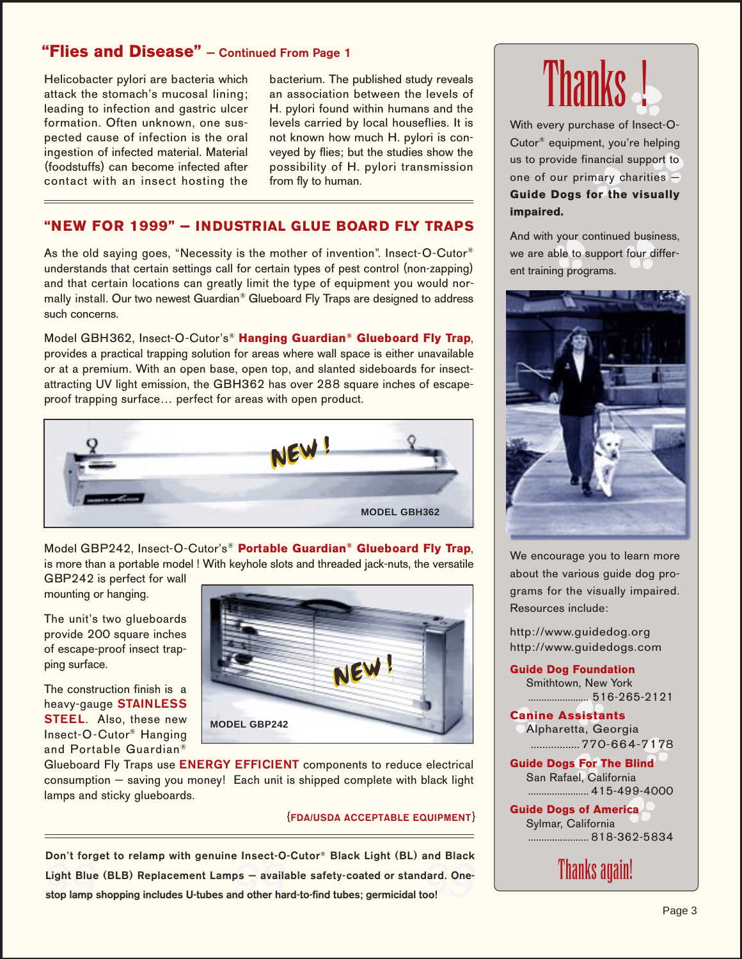## **"Flies and Disease" — Continued From Page␣ 1**

Helicobacter pylori are bacteria which attack the stomach's mucosal lining; leading to infection and gastric ulcer formation. Often unknown, one suspected cause of infection is the oral ingestion of infected material. Material (foodstuffs) can become infected after contact with an insect hosting the

bacterium. The published study reveals an association between the levels of H. pylori found within humans and the levels carried by local houseflies. It is not known how much H. pylori is conveyed by flies; but the studies show the possibility of H. pylori transmission from fly to human.

## **"NEW FOR 1999" — INDUSTRIAL GLUE BOARD FLY TRAPS**

As the old saying goes, "Necessity is the mother of invention". Insect-O-Cutor<sup>®</sup> understands that certain settings call for certain types of pest control (non-zapping) and that certain locations can greatly limit the type of equipment you would normally install. Our two newest Guardian<sup>®</sup> Glueboard Fly Traps are designed to address such concerns.

Model GBH362, Insect-O-Cutor's<sup>®</sup> Hanging Guardian<sup>®</sup> Glueboard Fly Trap, provides a practical trapping solution for areas where wall space is either unavailable or at a premium. With an open base, open top, and slanted sideboards for insectattracting UV light emission, the GBH362 has over 288␣ square inches of escapeproof trapping surface… perfect for areas with open product.



Model␣ GBP242, Insect-O-Cutor's® **Portable Guardian® Glueboard Fly Trap**, is more than a portable model ! With keyhole slots and threaded jack-nuts, the versatile

GBP242 is perfect for wall mounting or hanging.

The unit's two glueboards provide 200 square inches of escape-proof insect trapping surface.

The construction finish is a heavy-gauge **STAINLESS STEEL**. Also, these new Insect-O-Cutor® Hanging and Portable Guardian®



Glueboard Fly Traps use **ENERGY EFFICIENT** components to reduce electrical consumption — saving you money! Each unit is shipped complete with black light lamps and sticky glueboards.

#### {**FDA/USDA ACCEPTABLE EQUIPMENT**}

Light Blue (BLB) Replacement Lamps – available safety-coated or standard. One-<br>stop lamp shopping includes U-tubes and other hard-to-find tubes: germicidal too! **Don't forget to relamp with genuine Insect-O-Cutor® Black Light (BL) and Black stop lamp shopping includes U-tubes and other hard-to-find tubes; germicidal too!**



With every purchase of Insect-O-Cutor® equipment, you're helping us to provide financial support to one of our primary charities — **Guide Dogs for the visually impaired.**

And with your continued business, we are able to support four different training programs.



We encourage you to learn more about the various guide dog programs for the visually impaired. Resources include:

http://www.guidedog.org http://www.guidedogs.com

**Guide Dog Foundation** Smithtown, New York

....................... 516-265-2121 **Canine Assistants**

Alpharetta, Georgia .................770-664-7178

**Guide Dogs For The Blind** San Rafael, California ....................... 415-499-4000

**Guide Dogs of America** Sylmar, California ....................... 818-362-5834

Thanks again!